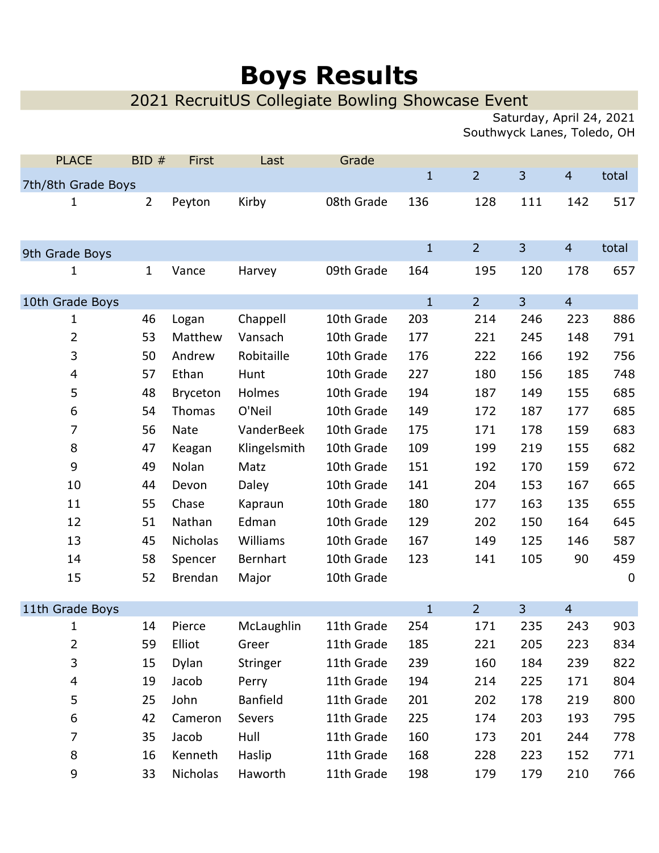## Boys Results

## 2021 RecruitUS Collegiate Bowling Showcase Event

Saturday, April 24, 2021 Southwyck Lanes, Toledo, OH

| <b>PLACE</b>       | BID#           | First       | Last            | Grade      | $\mathbf{1}$ | $\overline{2}$ | 3              | $\overline{4}$ | total     |
|--------------------|----------------|-------------|-----------------|------------|--------------|----------------|----------------|----------------|-----------|
| 7th/8th Grade Boys |                |             |                 |            |              |                |                |                |           |
| 1                  | $\overline{2}$ | Peyton      | Kirby           | 08th Grade | 136          | 128            | 111            | 142            | 517       |
| 9th Grade Boys     |                |             |                 |            | $\mathbf{1}$ | $\overline{2}$ | 3              | $\overline{4}$ | total     |
| 1                  | $\mathbf{1}$   | Vance       | Harvey          | 09th Grade | 164          | 195            | 120            | 178            | 657       |
| 10th Grade Boys    |                |             |                 |            | $\mathbf{1}$ | $\overline{2}$ | $\overline{3}$ | $\overline{4}$ |           |
| 1                  | 46             | Logan       | Chappell        | 10th Grade | 203          | 214            | 246            | 223            | 886       |
| 2                  | 53             | Matthew     | Vansach         | 10th Grade | 177          | 221            | 245            | 148            | 791       |
| 3                  | 50             | Andrew      | Robitaille      | 10th Grade | 176          | 222            | 166            | 192            | 756       |
| $\overline{4}$     | 57             | Ethan       | Hunt            | 10th Grade | 227          | 180            | 156            | 185            | 748       |
| 5                  | 48             | Bryceton    | Holmes          | 10th Grade | 194          | 187            | 149            | 155            | 685       |
| 6                  | 54             | Thomas      | O'Neil          | 10th Grade | 149          | 172            | 187            | 177            | 685       |
| 7                  | 56             | <b>Nate</b> | VanderBeek      | 10th Grade | 175          | 171            | 178            | 159            | 683       |
| 8                  | 47             | Keagan      | Klingelsmith    | 10th Grade | 109          | 199            | 219            | 155            | 682       |
| 9                  | 49             | Nolan       | Matz            | 10th Grade | 151          | 192            | 170            | 159            | 672       |
| 10                 | 44             | Devon       | Daley           | 10th Grade | 141          | 204            | 153            | 167            | 665       |
| 11                 | 55             | Chase       | Kapraun         | 10th Grade | 180          | 177            | 163            | 135            | 655       |
| 12                 | 51             | Nathan      | Edman           | 10th Grade | 129          | 202            | 150            | 164            | 645       |
| 13                 | 45             | Nicholas    | Williams        | 10th Grade | 167          | 149            | 125            | 146            | 587       |
| 14                 | 58             | Spencer     | Bernhart        | 10th Grade | 123          | 141            | 105            | 90             | 459       |
| 15                 | 52             | Brendan     | Major           | 10th Grade |              |                |                |                | $\pmb{0}$ |
| 11th Grade Boys    |                |             |                 |            | $\mathbf{1}$ | $\overline{2}$ | $\overline{3}$ | $\overline{4}$ |           |
| 1                  | 14             | Pierce      | McLaughlin      | 11th Grade | 254          | 171            | 235            | 243            | 903       |
| $\overline{2}$     | 59             | Elliot      | Greer           | 11th Grade | 185          | 221            | 205            | 223            | 834       |
| 3                  | 15             | Dylan       | Stringer        | 11th Grade | 239          | 160            | 184            | 239            | 822       |
| $\overline{4}$     | 19             | Jacob       | Perry           | 11th Grade | 194          | 214            | 225            | 171            | 804       |
| 5                  | 25             | John        | <b>Banfield</b> | 11th Grade | 201          | 202            | 178            | 219            | 800       |
| 6                  | 42             | Cameron     | Severs          | 11th Grade | 225          | 174            | 203            | 193            | 795       |
| 7                  | 35             | Jacob       | Hull            | 11th Grade | 160          | 173            | 201            | 244            | 778       |
| $\, 8$             | 16             | Kenneth     | Haslip          | 11th Grade | 168          | 228            | 223            | 152            | 771       |
| 9                  | 33             | Nicholas    | Haworth         | 11th Grade | 198          | 179            | 179            | 210            | 766       |